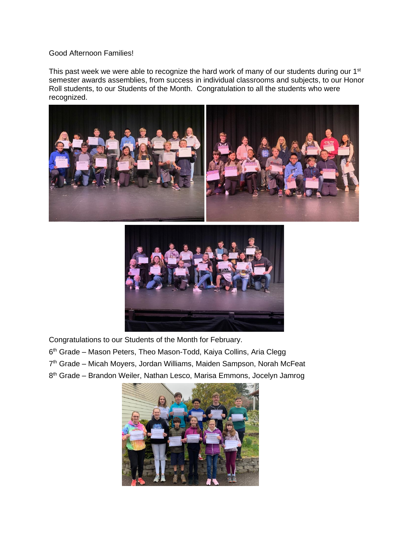## Good Afternoon Families!

This past week we were able to recognize the hard work of many of our students during our 1<sup>st</sup> semester awards assemblies, from success in individual classrooms and subjects, to our Honor Roll students, to our Students of the Month. Congratulation to all the students who were recognized.





Congratulations to our Students of the Month for February.

- 6<sup>th</sup> Grade Mason Peters, Theo Mason-Todd, Kaiya Collins, Aria Clegg
- 7<sup>th</sup> Grade Micah Moyers, Jordan Williams, Maiden Sampson, Norah McFeat
- 8<sup>th</sup> Grade Brandon Weiler, Nathan Lesco, Marisa Emmons, Jocelyn Jamrog